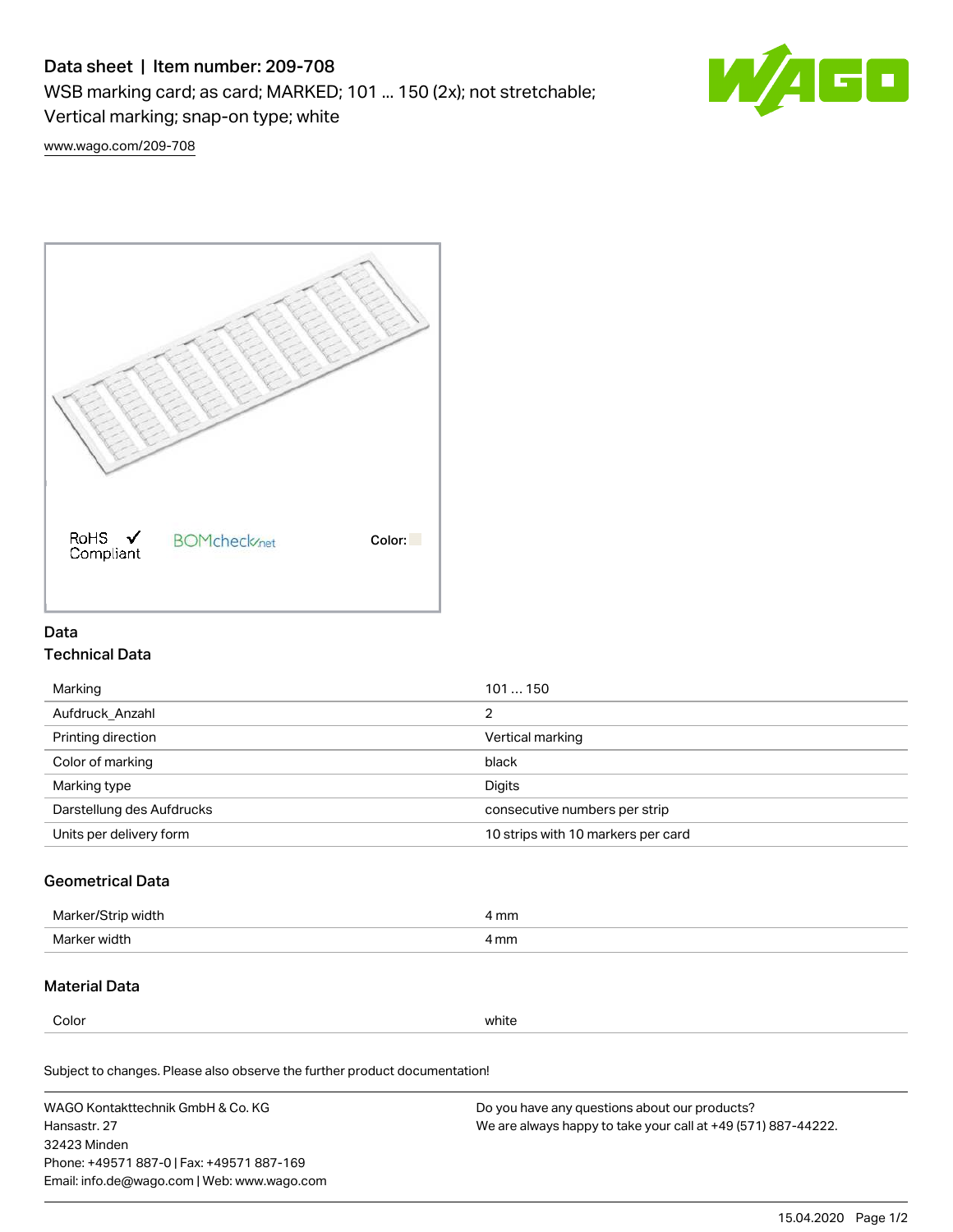# Data sheet | Item number: 209-708

WSB marking card; as card; MARKED; 101 ... 150 (2x); not stretchable;

Vertical marking; snap-on type; white



[www.wago.com/209-708](http://www.wago.com/209-708)



### Data Technical Data

| Marking                   | 101150                             |
|---------------------------|------------------------------------|
| Aufdruck Anzahl           | 2                                  |
| Printing direction        | Vertical marking                   |
| Color of marking          | black                              |
| Marking type              | Digits                             |
| Darstellung des Aufdrucks | consecutive numbers per strip      |
| Units per delivery form   | 10 strips with 10 markers per card |

## Geometrical Data

| Marker<br>∘width. | l mm |
|-------------------|------|
| Marker width      | 4 mm |

### Material Data

Color white

Subject to changes. Please also observe the further product documentation!

WAGO Kontakttechnik GmbH & Co. KG Hansastr. 27 32423 Minden Phone: +49571 887-0 | Fax: +49571 887-169 Email: info.de@wago.com | Web: www.wago.com Do you have any questions about our products? We are always happy to take your call at +49 (571) 887-44222.